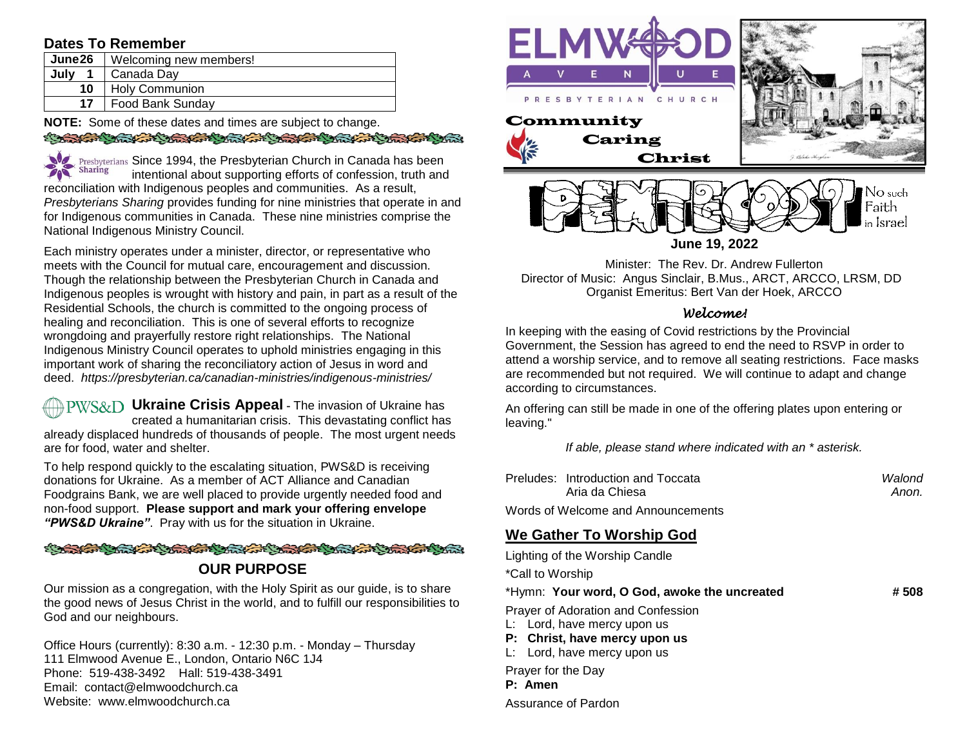# **Dates To Remember**

| <b>June26</b> | Welcoming new members!  |  |
|---------------|-------------------------|--|
| July          | Canada Dav              |  |
| 10            | <b>Holy Communion</b>   |  |
| 17            | <b>Food Bank Sunday</b> |  |

**NOTE:** Some of these dates and times are subject to change. SO STATE COMMANDER COMMANDER COMMANDER COMMANDER

Since 1994, the Presbyterian Church in Canada has been Sharing  $\sim$ intentional about supporting efforts of confession, truth and reconciliation with Indigenous peoples and communities. As a result, *Presbyterians Sharing* provides funding for nine ministries that operate in and for Indigenous communities in Canada. These nine ministries comprise the National Indigenous Ministry Council.

Each ministry operates under a minister, director, or representative who meets with the Council for mutual care, encouragement and discussion. Though the relationship between the Presbyterian Church in Canada and Indigenous peoples is wrought with history and pain, in part as a result of the Residential Schools, the church is committed to the ongoing process of healing and reconciliation. This is one of several efforts to recognize wrongdoing and prayerfully restore right relationships. The National Indigenous Ministry Council operates to uphold ministries engaging in this important work of sharing the reconciliatory action of Jesus in word and deed. *https://presbyterian.ca/canadian-ministries/indigenous-ministries/*

**PWS&D** Ukraine Crisis Appeal - The invasion of Ukraine has created a humanitarian crisis. This devastating conflict has already displaced hundreds of thousands of people. The most urgent needs are for food, water and shelter.

To help respond quickly to the escalating situation, PWS&D is receiving donations for Ukraine. As a member of ACT Alliance and Canadian Foodgrains Bank, we are well placed to provide urgently needed food and non-food support. **Please support and mark your offering envelope**  *"PWS&D Ukraine"*. Pray with us for the situation in Ukraine.

#### **CARL CARL COMMENT CARL CARL CARL CARL CARL CAR**

### **OUR PURPOSE**

Our mission as a congregation, with the Holy Spirit as our guide, is to share the good news of Jesus Christ in the world, and to fulfill our responsibilities to God and our neighbours.

Office Hours (currently): 8:30 a.m. - 12:30 p.m. - Monday – Thursday 111 Elmwood Avenue E., London, Ontario N6C 1J4 Phone: 519-438-3492 Hall: 519-438-3491 Email: contact@elmwoodchurch.ca Website: www.elmwoodchurch.ca



Minister: The Rev. Dr. Andrew Fullerton Director of Music: Angus Sinclair, B.Mus., ARCT, ARCCO, LRSM, DD Organist Emeritus: Bert Van der Hoek, ARCCO

### *Welcome!*

In keeping with the easing of Covid restrictions by the Provincial Government, the Session has agreed to end the need to RSVP in order to attend a worship service, and to remove all seating restrictions. Face masks are recommended but not required. We will continue to adapt and change according to circumstances.

An offering can still be made in one of the offering plates upon entering or leaving."

*If able, please stand where indicated with an \* asterisk.*

| Preludes: Introduction and Toccata | Walond |
|------------------------------------|--------|
| Aria da Chiesa                     | Anon.  |
| Words of Welcome and Announcements |        |

# **We Gather To Worship God**

| Lighting of the Worship Candle                                                                                                    |      |
|-----------------------------------------------------------------------------------------------------------------------------------|------|
| *Call to Worship                                                                                                                  |      |
| *Hymn: Your word, O God, awoke the uncreated                                                                                      | #508 |
| Prayer of Adoration and Confession<br>L: Lord, have mercy upon us<br>P: Christ, have mercy upon us<br>L: Lord, have mercy upon us |      |
| Prayer for the Day<br>P: Amen                                                                                                     |      |

Assurance of Pardon